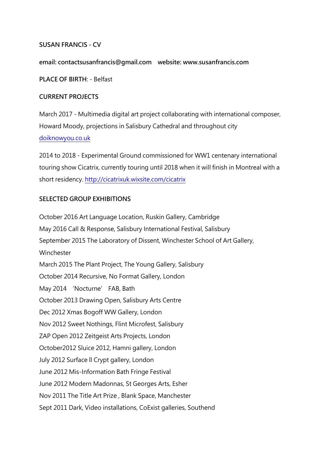## **SUSAN FRANCIS - CV**

**email: contactsusanfrancis@gmail.com website: www.susanfrancis.com**

**PLACE OF BIRTH**: - Belfast

### **CURRENT PROJECTS**

March 2017 - Multimedia digital art project collaborating with international composer, Howard Moody, projections in Salisbury Cathedral and throughout city [doiknowyou.co.uk](http://www.doiknowyou.co.uk/)

2014 to 2018 - Experimental Ground commissioned for WW1 centenary international touring show Cicatrix, currently touring until 2018 when it will finish in Montreal with a short residency.<http://cicatrixuk.wixsite.com/cicatrix>

## **SELECTED GROUP EXHIBITIONS**

October 2016 Art Language Location, Ruskin Gallery, Cambridge May 2016 Call & Response, Salisbury International Festival, Salisbury September 2015 The Laboratory of Dissent, Winchester School of Art Gallery, Winchester March 2015 The Plant Project, The Young Gallery, Salisbury October 2014 Recursive, No Format Gallery, London May 2014 'Nocturne' FAB, Bath October 2013 Drawing Open, Salisbury Arts Centre Dec 2012 Xmas Bogoff WW Gallery, London Nov 2012 Sweet Nothings, Flint Microfest, Salisbury ZAP Open 2012 Zeitgeist Arts Projects, London October2012 Sluice 2012, Hamni gallery, London July 2012 Surface ll Crypt gallery, London June 2012 Mis-Information Bath Fringe Festival June 2012 Modern Madonnas, St Georges Arts, Esher Nov 2011 The Title Art Prize , Blank Space, Manchester Sept 2011 Dark, Video installations, CoExist galleries, Southend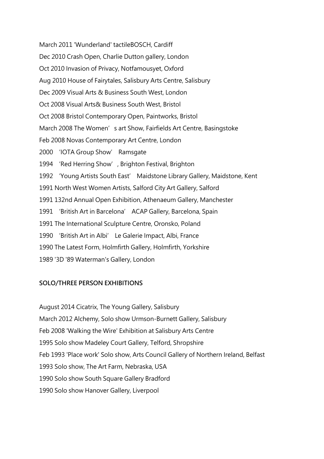March 2011 'Wunderland' tactileBOSCH, Cardiff Dec 2010 Crash Open, Charlie Dutton gallery, London Oct 2010 Invasion of Privacy, Notfamousyet, Oxford Aug 2010 House of Fairytales, Salisbury Arts Centre, Salisbury Dec 2009 Visual Arts & Business South West, London Oct 2008 Visual Arts& Business South West, Bristol Oct 2008 Bristol Contemporary Open, Paintworks, Bristol March 2008 The Women's art Show, Fairfields Art Centre, Basingstoke Feb 2008 Novas Contemporary Art Centre, London 2000 'IOTA Group Show' Ramsgate 1994 'Red Herring Show', Brighton Festival, Brighton 1992 'Young Artists South East' Maidstone Library Gallery, Maidstone, Kent 1991 North West Women Artists, Salford City Art Gallery, Salford 1991 132nd Annual Open Exhibition, Athenaeum Gallery, Manchester 1991 'British Art in Barcelona' ACAP Gallery, Barcelona, Spain 1991 The International Sculpture Centre, Oronsko, Poland 1990 'British Art in Albi' Le Galerie Impact, Albi, France 1990 The Latest Form, Holmfirth Gallery, Holmfirth, Yorkshire 1989 '3D '89 Waterman's Gallery, London

## **SOLO/THREE PERSON EXHIBITIONS**

August 2014 Cicatrix, The Young Gallery, Salisbury March 2012 Alchemy, Solo show Urmson-Burnett Gallery, Salisbury Feb 2008 'Walking the Wire' Exhibition at Salisbury Arts Centre 1995 Solo show Madeley Court Gallery, Telford, Shropshire Feb 1993 'Place work' Solo show, Arts Council Gallery of Northern Ireland, Belfast 1993 Solo show, The Art Farm, Nebraska, USA 1990 Solo show South Square Gallery Bradford 1990 Solo show Hanover Gallery, Liverpool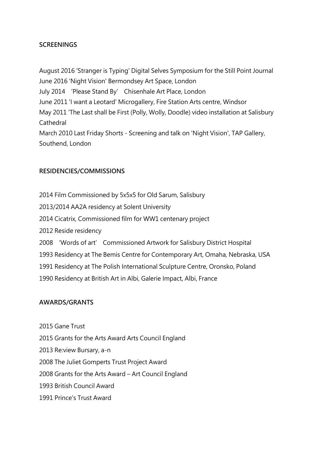# **SCREENINGS**

August 2016 'Stranger is Typing' Digital Selves Symposium for the Still Point Journal June 2016 'Night Vision' Bermondsey Art Space, London July 2014 'Please Stand By' Chisenhale Art Place, London June 2011 'I want a Leotard' Microgallery, Fire Station Arts centre, Windsor May 2011 'The Last shall be First (Polly, Wolly, Doodle) video installation at Salisbury Cathedral March 2010 Last Friday Shorts - Screening and talk on 'Night Vision', TAP Gallery, Southend, London

# **RESIDENCIES/COMMISSIONS**

2014 Film Commissioned by 5x5x5 for Old Sarum, Salisbury 2013/2014 AA2A residency at Solent University 2014 Cicatrix, Commissioned film for WW1 centenary project 2012 Reside residency 2008 'Words of art' Commissioned Artwork for Salisbury District Hospital 1993 Residency at The Bemis Centre for Contemporary Art, Omaha, Nebraska, USA 1991 Residency at The Polish International Sculpture Centre, Oronsko, Poland 1990 Residency at British Art in Albi, Galerie Impact, Albi, France

## **AWARDS/GRANTS**

2015 Gane Trust 2015 Grants for the Arts Award Arts Council England 2013 Re:view Bursary, a-n 2008 The Juliet Gomperts Trust Project Award 2008 Grants for the Arts Award – Art Council England 1993 British Council Award 1991 Prince's Trust Award